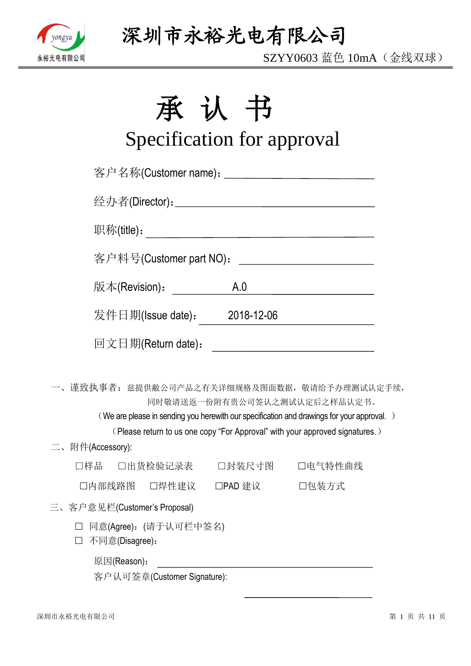

SZYY0603 蓝色 10mA(金线双球)

# 承认书

# Specification for approval

| 客户名称(Customer name): ____________________________ |     |                                                                                                                                                                                                           |
|---------------------------------------------------|-----|-----------------------------------------------------------------------------------------------------------------------------------------------------------------------------------------------------------|
|                                                   |     |                                                                                                                                                                                                           |
|                                                   |     |                                                                                                                                                                                                           |
| 客户料号(Customer part NO):                           |     | <u> 1990 - Johann Barbara, martin a</u>                                                                                                                                                                   |
| 版本(Revision):                                     | A.0 | <u> 1980 - Johann Barbara, martxa a</u>                                                                                                                                                                   |
| 发件日期(Issue date): 2018-12-06                      |     |                                                                                                                                                                                                           |
| 回文日期(Return date):                                |     | <u> 1980 - Johann Barnett, fransk politik (d. 1980)</u>                                                                                                                                                   |
| 一、谨致执事者: 兹提供敝公司产品之有关详细规格及图面数据, 敬请给予办理测试认定手续,      |     | 同时敬请送返一份附有贵公司签认之测试认定后之样品认定书。<br>(We are please in sending you herewith our specification and drawings for your approval.)<br>(Please return to us one copy "For Approval" with your approved signatures.) |
| 二、附件(Accessory):                                  |     |                                                                                                                                                                                                           |
| □样品  □出货检验记录表   □封装尺寸图   □电气特性曲线                  |     |                                                                                                                                                                                                           |
| □内部线路图 □焊性建议 □PAD 建议 □ □包装方式                      |     |                                                                                                                                                                                                           |
| 三、客户意见栏(Customer's Proposal)                      |     |                                                                                                                                                                                                           |
| □ 同意(Agree): (请于认可栏中签名)<br>不同意(Disagree):         |     |                                                                                                                                                                                                           |
| 原因(Reason):                                       |     |                                                                                                                                                                                                           |

客户认可签章(Customer Signature):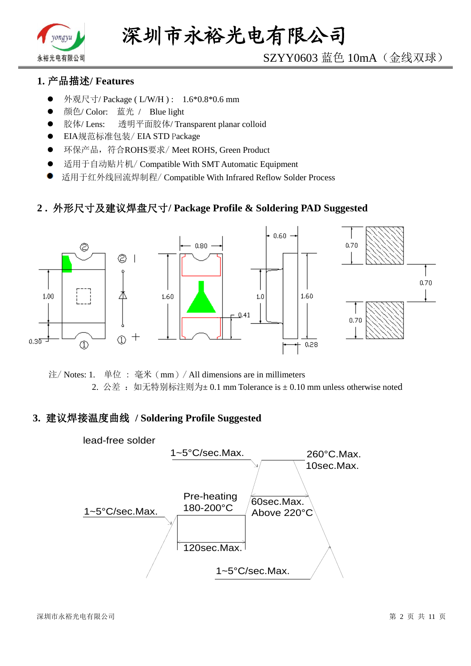

# SZYY0603 蓝色 10mA(金线双球)

## **1.** 产品描述**/ Features**

- 外观尺寸/ Package ( L/W/H ) : 1.6\*0.8\*0.6 mm
- 颜色/ Color: 蓝光 / Blue light
- 胶体/ Lens: 透明平面胶体/ Transparent planar colloid
- EIA规范标准包装/ EIA STD Package
- **●** 环保产品,符合ROHS要求/Meet ROHS, Green Product
- 适用于自动贴片机/ Compatible With SMT Automatic Equipment
- 适用于红外线回流焊制程/ Compatible With Infrared Reflow Solder Process

#### **2 .** 外形尺寸及建议焊盘尺寸**/ Package Profile & Soldering PAD Suggested**



注/ Notes: 1. 单位 : 毫米(mm)/ All dimensions are in millimeters 2. 公差: 如无特别标注则为±0.1 mm Tolerance is ±0.10 mm unless otherwise noted

#### **3.** 建议焊接温度曲线 **/ Soldering Profile Suggested**

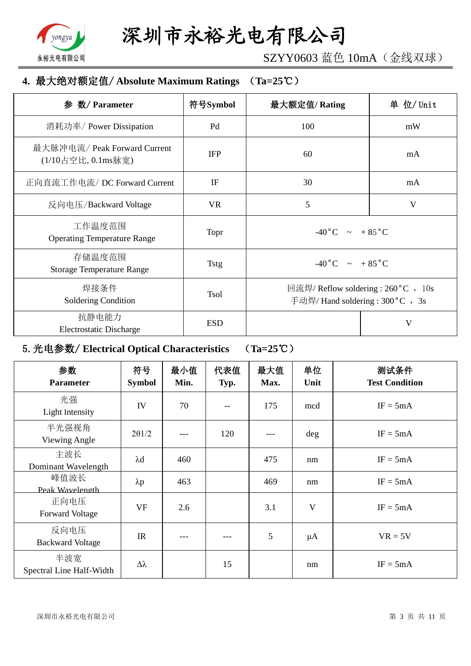

SZYY0603 蓝色 10mA(金线双球)

## **4.** 最大绝对额定值/ **Absolute Maximum Ratings** (**Ta=25**℃)

| 数/ Parameter<br>参                                  | 符号Symbol    | 最大额定值/Rating                                                             | 单 位/ Unit |  |
|----------------------------------------------------|-------------|--------------------------------------------------------------------------|-----------|--|
| 消耗功率/ Power Dissipation                            | Pd          | 100                                                                      | mW        |  |
| 最大脉冲电流/ Peak Forward Current<br>(1/10占空比, 0.1ms脉宽) | <b>IFP</b>  | 60                                                                       | mA        |  |
| 正向直流工作电流/DC Forward Current                        | IF          | 30                                                                       | mA        |  |
| 反向电压/Backward Voltage                              | <b>VR</b>   | 5                                                                        | V         |  |
| 工作温度范围<br><b>Operating Temperature Range</b>       | Topr        | $-40\degree C$ $\sim +85\degree C$                                       |           |  |
| 存储温度范围<br><b>Storage Temperature Range</b>         | <b>Tstg</b> | $-40\degree C$ $\sim +85\degree C$                                       |           |  |
| 焊接条件<br>Soldering Condition                        | <b>Tsol</b> | 回流焊/ Reflow soldering : 260 °C , 10s<br>手动焊/ Hand soldering : 300 °C, 3s |           |  |
| 抗静电能力<br><b>Electrostatic Discharge</b>            | <b>ESD</b>  |                                                                          | V         |  |

# 5.光电参数/ **Electrical Optical Characteristics** (**Ta=25**℃)

| 参数<br><b>Parameter</b>          | 符号<br><b>Symbol</b> | 最小值<br>Min. | 代表值<br>Typ. | 最大值<br>Max. | 单位<br>Unit | 测试条件<br><b>Test Condition</b> |
|---------------------------------|---------------------|-------------|-------------|-------------|------------|-------------------------------|
| 光强<br>Light Intensity           | IV                  | 70          | --          | 175         | mcd        | $IF = 5mA$                    |
| 半光强视角<br>Viewing Angle          | $2\theta$ 1/2       |             | 120         |             | deg        | $IF = 5mA$                    |
| 主波长<br>Dominant Wavelength      | $\lambda$ d         | 460         |             | 475         | nm         | $IF = 5mA$                    |
| 峰值波长<br>Peak Wavelength         | $\lambda p$         | 463         |             | 469         | nm         | $IF = 5mA$                    |
| 正向电压<br><b>Forward Voltage</b>  | <b>VF</b>           | 2.6         |             | 3.1         | V          | $IF = 5mA$                    |
| 反向电压<br><b>Backward Voltage</b> | IR                  | ---         |             | 5           | $\mu A$    | $VR = 5V$                     |
| 半波宽<br>Spectral Line Half-Width | $\Delta \lambda$    |             | 15          |             | nm         | $IF = 5mA$                    |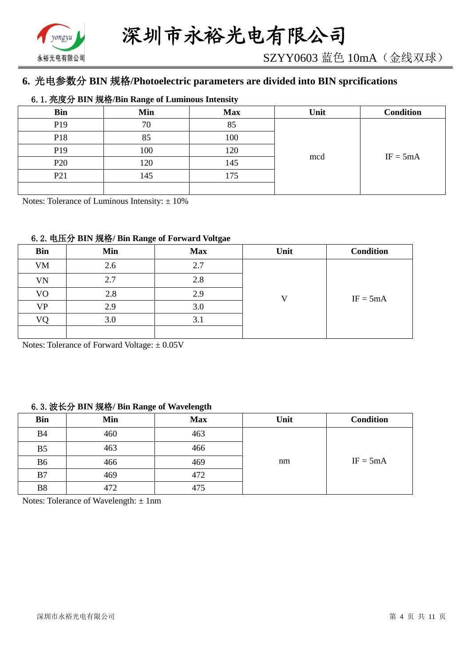

# **6.** 光电参数分 **BIN** 规格**/Photoelectric parameters are divided into BIN sprcifications**

#### 6.1.亮度分 **BIN** 规格**/Bin Range of Luminous Intensity**

| <b>Bin</b>      | Min | <b>Max</b> | Unit | <b>Condition</b> |
|-----------------|-----|------------|------|------------------|
| P <sub>19</sub> | 70  | 85         |      |                  |
| P <sub>18</sub> | 85  | 100        |      |                  |
| P <sub>19</sub> | 100 | 120        |      |                  |
| P <sub>20</sub> | 120 | 145        | mcd  | $IF = 5mA$       |
| P <sub>21</sub> | 145 | 175        |      |                  |
|                 |     |            |      |                  |

Notes: Tolerance of Luminous Intensity:  $\pm 10\%$ 

#### 6.2.电压分 **BIN** 规格**/ Bin Range of Forward Voltgae**

| <b>Bin</b>     | Min | <b>Max</b> | Unit | <b>Condition</b> |
|----------------|-----|------------|------|------------------|
| <b>VM</b>      | 2.6 | 2.7        |      |                  |
| VN             | 2.7 | 2.8        |      |                  |
| V <sub>O</sub> | 2.8 | 2.9        |      | $IF = 5mA$       |
| <b>VP</b>      | 2.9 | 3.0        |      |                  |
| VΩ             | 3.0 | 3.1        |      |                  |
|                |     |            |      |                  |

Notes: Tolerance of Forward Voltage: ±0.05V

#### 6.3.波长分 **BIN** 规格**/ Bin Range of Wavelength**

| <b>Bin</b>     | Min | <b>Max</b> | Unit | <b>Condition</b> |
|----------------|-----|------------|------|------------------|
| <b>B4</b>      | 460 | 463        |      |                  |
| B <sub>5</sub> | 463 | 466        |      |                  |
| B <sub>6</sub> | 466 | 469        | nm   | $IF = 5mA$       |
| B7             | 469 | 472        |      |                  |
| <b>B8</b>      | 472 | 475        |      |                  |

Notes: Tolerance of Wavelength:  $\pm 1$ nm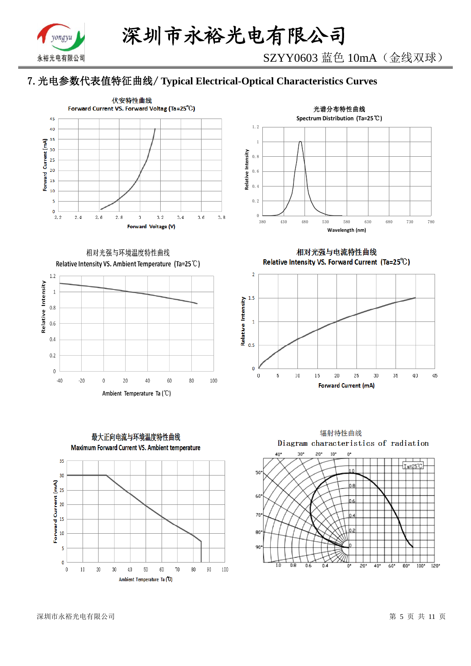

# 7.光电参数代表值特征曲线/ **Typical Electrical-Optical Characteristics Curves**





相对光强与环境温度特性曲线 Relative Intensity VS. Ambient Temperature (Ta=25°C)





相对光强与电流特性曲线 Relative Intensity VS. Forward Current (Ta=25°C)





深圳市永裕光电有限公司 第 5 页 共 11 页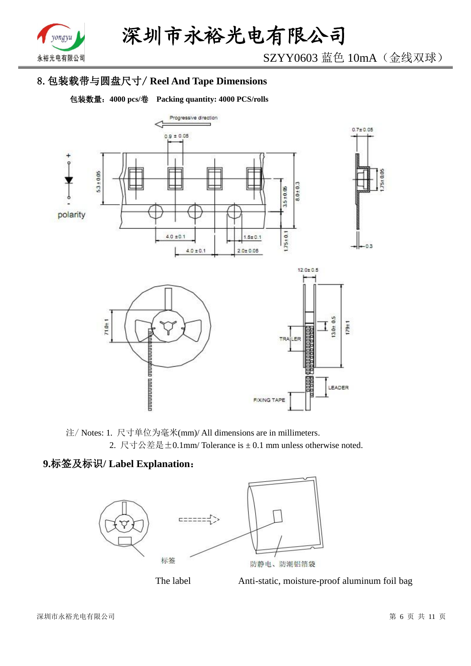

SZYY0603 蓝色 10mA(金线双球)

# 8.包装载带与圆盘尺寸/ **Reel And Tape Dimensions**

包装数量:**4000 pcs/**卷 **Packing quantity: 4000 PCS/rolls**



注/ Notes: 1. 尺寸单位为毫米(mm)/ All dimensions are in millimeters. 2. 尺寸公差是±0.1mm/ Tolerance is ± 0.1 mm unless otherwise noted.

# **9.**标签及标识**/ Label Explanation**:





The label Anti-static, moisture-proof aluminum foil bag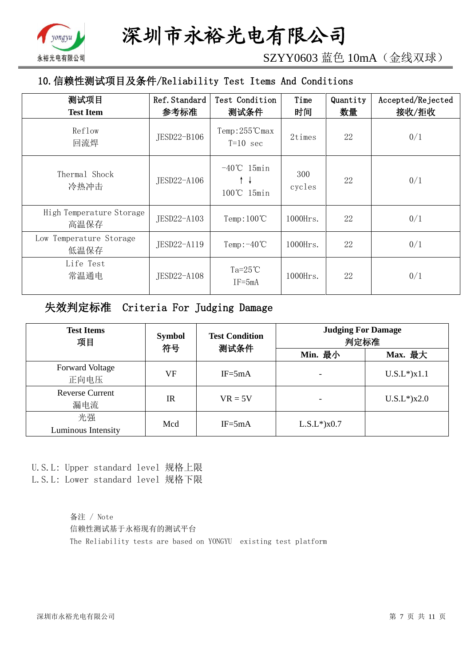

SZYY0603 蓝色 10mA(金线双球)

# 10.信赖性测试项目及条件/Reliability Test Items And Conditions

| 测试项目<br><b>Test Item</b>         | Ref. Standard<br>参考标准 | Test Condition<br>测试条件                | Time<br>时间    | Quantity<br>数量 | Accepted/Rejected<br>接收/拒收 |
|----------------------------------|-----------------------|---------------------------------------|---------------|----------------|----------------------------|
| Reflow<br>回流焊                    | JESD22-B106           | $Temp:255^{\circ}C$ max<br>$T=10$ sec | 2times        | 22             | 0/1                        |
| Thermal Shock<br>冷热冲击            | JESD22-A106           | $-40^{\circ}$ C 15min<br>100℃ 15min   | 300<br>cycles | 22             | 0/1                        |
| High Temperature Storage<br>高温保存 | JESD22-A103           | Temp: $100^{\circ}$ C                 | $1000$ Hrs.   | 22             | 0/1                        |
| Low Temperature Storage<br>低温保存  | JESD22-A119           | Temp: $-40^{\circ}$ C                 | $1000$ Hrs.   | 22             | 0/1                        |
| Life Test<br>常温通电                | JESD22-A108           | Ta= $25^{\circ}$ C<br>$IF = 5mA$      | $1000$ Hrs.   | 22             | 0/1                        |

# 失效判定标准 Criteria For Judging Damage

| <b>Test Items</b><br>项目        | <b>Symbol</b><br>符号 | <b>Test Condition</b><br>测试条件 |                   | <b>Judging For Damage</b><br>判定标准 |  |
|--------------------------------|---------------------|-------------------------------|-------------------|-----------------------------------|--|
|                                |                     |                               | Min. 最小           | Max. 最大                           |  |
| <b>Forward Voltage</b><br>正向电压 | VF                  | $IF = 5mA$                    |                   | $U.S.L^*$ ) $x1.1$                |  |
| <b>Reverse Current</b><br>漏电流  | IR                  | $VR = 5V$                     |                   | $U.S.L*$ )x2.0                    |  |
| 光强<br>Luminous Intensity       | Mcd                 | $IF = 5mA$                    | $L.S.L*$ ) $x0.7$ |                                   |  |

U.S.L: Upper standard level 规格上限 L.S.L: Lower standard level 规格下限

> 备注 / Note 信赖性测试基于永裕现有的测试平台 The Reliability tests are based on YONGYU existing test platform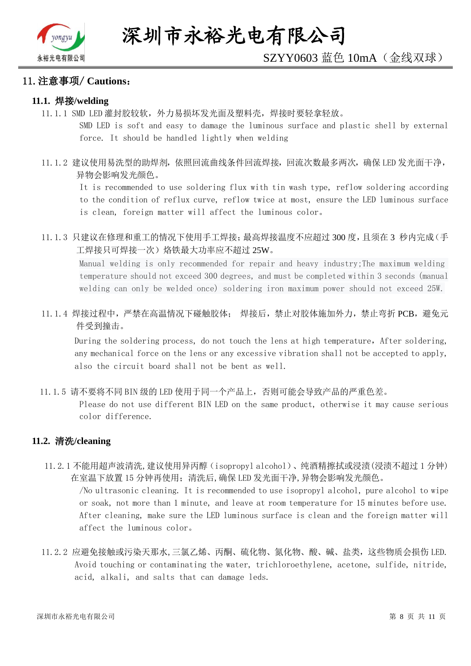

#### 11.注意事项/ **Cautions**:

#### **11.1.** 焊接**/welding**

11.1.1 SMD LED 灌封胶较软,外力易损坏发光面及塑料壳,焊接时要轻拿轻放。

SMD LED is soft and easy to damage the luminous surface and plastic shell by external force. It should be handled lightly when welding

11.1.2 建议使用易洗型的助焊剂,依照回流曲线条件回流焊接,回流次数最多两次,确保 LED 发光面干净, 异物会影响发光颜色。

It is recommended to use soldering flux with tin wash type, reflow soldering according to the condition of reflux curve, reflow twice at most, ensure the LED luminous surface is clean, foreign matter will affect the luminous color。

11.1.3 只建议在修理和重工的情况下使用手工焊接;最高焊接温度不应超过 300 度,且须在 3 秒内完成(手 工焊接只可焊接一次)烙铁最大功率应不超过 25W。

Manual welding is only recommended for repair and heavy industry;The maximum welding temperature should not exceed 300 degrees, and must be completed within 3 seconds (manual welding can only be welded once) soldering iron maximum power should not exceed 25W.

11.1.4 焊接过程中,严禁在高温情况下碰触胶体; 焊接后,禁止对胶体施加外力,禁止弯折 PCB,避免元 件受到撞击。

During the soldering process, do not touch the lens at high temperature, After soldering, any mechanical force on the lens or any excessive vibration shall not be accepted to apply, also the circuit board shall not be bent as well.

11.1.5 请不要将不同 BIN 级的 LED 使用于同一个产品上,否则可能会导致产品的严重色差。

Please do not use different BIN LED on the same product, otherwise it may cause serious color difference.

#### **11.2.** 清洗**/cleaning**

11.2.1 不能用超声波清洗,建议使用异丙醇(isopropyl alcohol)、纯酒精擦拭或浸渍(浸渍不超过 1 分钟) 在室温下放置 15 分钟再使用;清洗后,确保 LED 发光面干净,异物会影响发光颜色。

/No ultrasonic cleaning. It is recommended to use isopropyl alcohol, pure alcohol to wipe or soak, not more than 1 minute, and leave at room temperature for 15 minutes before use. After cleaning, make sure the LED luminous surface is clean and the foreign matter will affect the luminous color。

11.2.2 应避免接触或污染天那水,三氯乙烯、丙酮、硫化物、氮化物、酸、碱、盐类,这些物质会损伤 LED. Avoid touching or contaminating the water, trichloroethylene, acetone, sulfide, nitride, acid, alkali, and salts that can damage leds.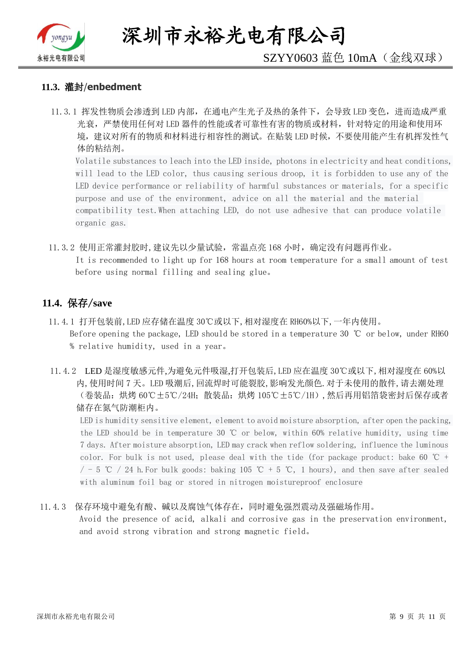

深圳市永裕光电有限公司

# SZYY0603 蓝色 10mA(金线双球)

#### **11.3.** 灌封/**enbedment**

11.3.1 挥发性物质会渗透到 LED 内部, 在通电产生光子及热的条件下, 会导致 LED 变色, 进而造成严重 光衰,严禁使用任何对 LED 器件的性能或者可靠性有害的物质或材料,针对特定的用途和使用环 境,建议对所有的物质和材料进行相容性的测试。在贴装 LED 时候,不要使用能产生有机挥发性气 体的粘结剂。

Volatile substances to leach into the LED inside, photons in electricity and heat conditions, will lead to the LED color, thus causing serious droop, it is forbidden to use any of the LED device performance or reliability of harmful substances or materials, for a specific purpose and use of the environment, advice on all the material and the material compatibility test.When attaching LED, do not use adhesive that can produce volatile organic gas.

11.3.2 使用正常灌封胶时,建议先以少量试验,常温点亮 168 小时,确定没有问题再作业。 It is recommended to light up for 168 hours at room temperature for a small amount of test before using normal filling and sealing glue。

#### **11.4.** 保存/**save**

- 11.4.1 打开包装前,LED 应存储在温度 30℃或以下,相对湿度在 RH60%以下,一年内使用。 Before opening the package, LED should be stored in a temperature 30 ℃ or below, under RH60 % relative humidity, used in a year。
- 11.4.2 LED 是湿度敏感元件,为避免元件吸湿,打开包装后,LED 应在温度 30℃或以下,相对湿度在 60%以 内,使用时间 7 天。LED 吸潮后,回流焊时可能裂胶,影响发光颜色.对于未使用的散件,请去潮处理 (卷装品:烘烤 60℃±5℃/24H;散装品:烘烤 105℃±5℃/1H),然后再用铝箔袋密封后保存或者 储存在氮气防潮柜内。

LED is humidity sensitive element, element to avoid moisture absorption, after open the packing, the LED should be in temperature 30 ℃ or below, within 60% relative humidity, using time 7 days. After moisture absorption, LED may crack when reflow soldering, influence the luminous color. For bulk is not used, please deal with the tide (for package product: bake 60  $\degree$ C +  $/$  - 5 ℃ / 24 h. For bulk goods: baking 105 ℃ + 5 ℃, 1 hours), and then save after sealed with aluminum foil bag or stored in nitrogen moistureproof enclosure

#### 11.4.3 保存环境中避免有酸、碱以及腐蚀气体存在,同时避免强烈震动及强磁场作用。

Avoid the presence of acid, alkali and corrosive gas in the preservation environment, and avoid strong vibration and strong magnetic field。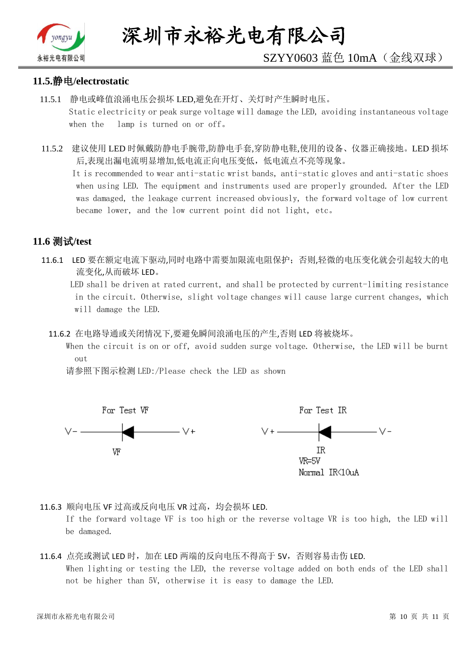

# SZYY0603 蓝色 10mA(金线双球)

#### **11.5.**静电**/electrostatic**

- 11.5.1 静电或峰值浪涌电压会损坏 LED,避免在开灯、关灯时产生瞬时电压。 Static electricity or peak surge voltage will damage the LED, avoiding instantaneous voltage when the lamp is turned on or off。
- 11.5.2 建议使用 LED 时佩戴防静电手腕带,防静电手套,穿防静电鞋,使用的设备、仪器正确接地。LED 损坏 后,表现出漏电流明显增加,低电流正向电压变低,低电流点不亮等现象。

 It is recommended to wear anti-static wrist bands, anti-static gloves and anti-static shoes when using LED. The equipment and instruments used are properly grounded. After the LED was damaged, the leakage current increased obviously, the forward voltage of low current became lower, and the low current point did not light, etc。

## **11.6** 测试**/test**

11.6.1 LED 要在额定电流下驱动,同时电路中需要加限流电阻保护;否则,轻微的电压变化就会引起较大的电 流变化,从而破坏 LED。

 LED shall be driven at rated current, and shall be protected by current-limiting resistance in the circuit. Otherwise, slight voltage changes will cause large current changes, which will damage the LED.

11.6.2 在电路导通或关闭情况下,要避免瞬间浪涌电压的产生,否则 LED 将被烧坏。

 When the circuit is on or off, avoid sudden surge voltage. Otherwise, the LED will be burnt out

请参照下图示检测 LED:/Please check the LED as shown



11.6.3 顺向电压 VF 过高或反向电压 VR 过高, 均会损坏 LED.

If the forward voltage VF is too high or the reverse voltage VR is too high, the LED will be damaged.

#### 11.6.4 点亮或测试 LED 时,加在 LED 两端的反向电压不得高于 5V,否则容易击伤 LED. When lighting or testing the LED, the reverse voltage added on both ends of the LED shall not be higher than 5V, otherwise it is easy to damage the LED.